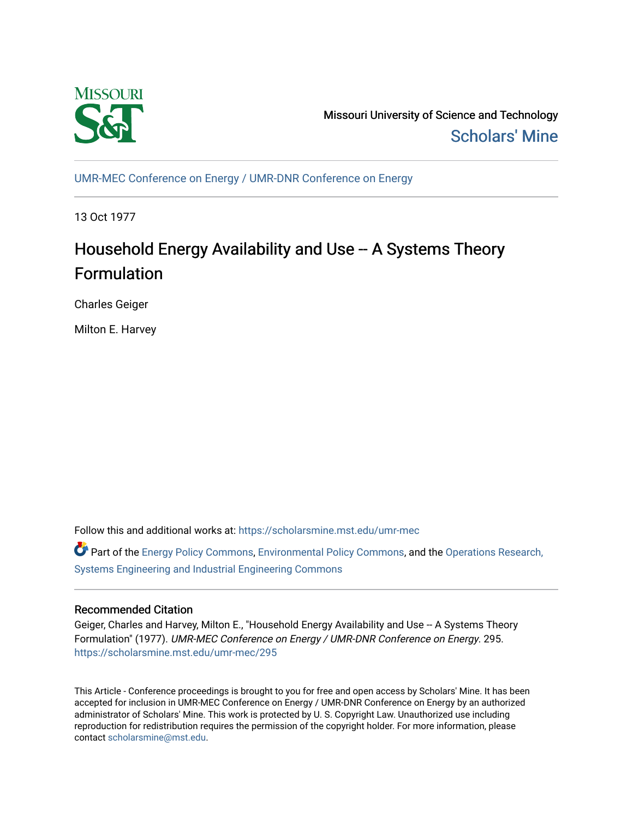

Missouri University of Science and Technology [Scholars' Mine](https://scholarsmine.mst.edu/) 

[UMR-MEC Conference on Energy / UMR-DNR Conference on Energy](https://scholarsmine.mst.edu/umr-mec)

13 Oct 1977

# Household Energy Availability and Use -- A Systems Theory Formulation

Charles Geiger

Milton E. Harvey

Follow this and additional works at: [https://scholarsmine.mst.edu/umr-mec](https://scholarsmine.mst.edu/umr-mec?utm_source=scholarsmine.mst.edu%2Fumr-mec%2F295&utm_medium=PDF&utm_campaign=PDFCoverPages) 

Part of the [Energy Policy Commons](http://network.bepress.com/hgg/discipline/1065?utm_source=scholarsmine.mst.edu%2Fumr-mec%2F295&utm_medium=PDF&utm_campaign=PDFCoverPages), [Environmental Policy Commons](http://network.bepress.com/hgg/discipline/1027?utm_source=scholarsmine.mst.edu%2Fumr-mec%2F295&utm_medium=PDF&utm_campaign=PDFCoverPages), and the [Operations Research,](http://network.bepress.com/hgg/discipline/305?utm_source=scholarsmine.mst.edu%2Fumr-mec%2F295&utm_medium=PDF&utm_campaign=PDFCoverPages)  [Systems Engineering and Industrial Engineering Commons](http://network.bepress.com/hgg/discipline/305?utm_source=scholarsmine.mst.edu%2Fumr-mec%2F295&utm_medium=PDF&utm_campaign=PDFCoverPages)

# Recommended Citation

Geiger, Charles and Harvey, Milton E., "Household Energy Availability and Use -- A Systems Theory Formulation" (1977). UMR-MEC Conference on Energy / UMR-DNR Conference on Energy. 295. [https://scholarsmine.mst.edu/umr-mec/295](https://scholarsmine.mst.edu/umr-mec/295?utm_source=scholarsmine.mst.edu%2Fumr-mec%2F295&utm_medium=PDF&utm_campaign=PDFCoverPages) 

This Article - Conference proceedings is brought to you for free and open access by Scholars' Mine. It has been accepted for inclusion in UMR-MEC Conference on Energy / UMR-DNR Conference on Energy by an authorized administrator of Scholars' Mine. This work is protected by U. S. Copyright Law. Unauthorized use including reproduction for redistribution requires the permission of the copyright holder. For more information, please contact [scholarsmine@mst.edu](mailto:scholarsmine@mst.edu).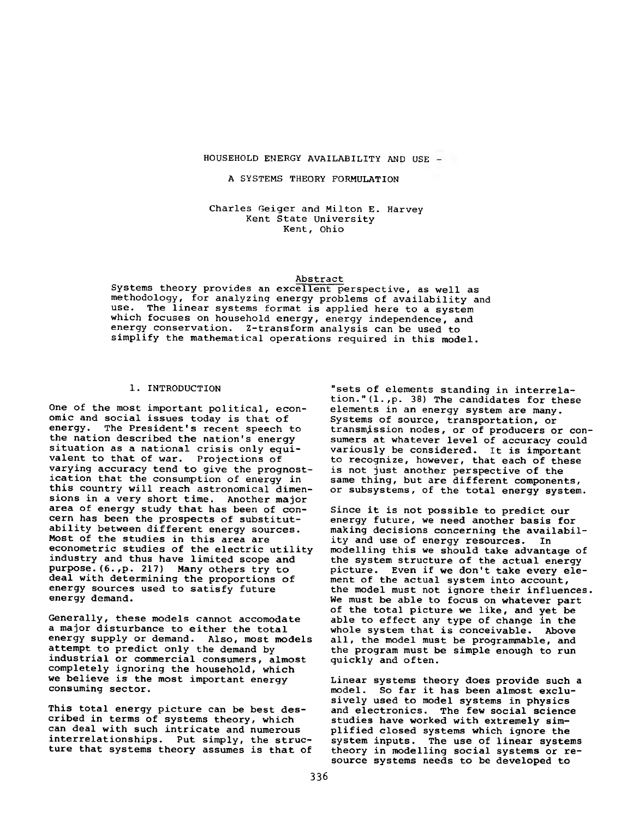## **HOUSEHOLD ENERGY AVAILABILITY AND USE**

# **A SYSTEMS THEORY FORMULATION**

**Charles Geiger and Milton E. Harvey Kent State University Kent, Ohio**

#### **Abstract**

**Systems theory provides an excellent perspective, as well as methodology, for analyzing energy problems of availability and use. The linear systems format is applied here to a system which focuses on household energy, energy independence, and energy conservation. Z-transform analysis can be used to simplify the mathematical operations required in this model.**

### **1. INTRODUCTION**

**One of the most important political, economic and social issues today is that of energy. The President's recent speech to the nation described the nation's energy situation as a national crisis only equivalent to that of war. Projections of varying accuracy tend to give the prognostication that the consumption of energy in this country will reach astronomical dimensions in a very short time. Another major area of energy study that has been of concern has been the prospects of substitutability between different energy sources. Most of the studies in this area are econometric studies of the electric utility industry and thus have limited scope and purpose.(6.,p. 217) Many others try to deal with determining the proportions of energy sources used to satisfy future energy demand.**

**Generally, these models cannot accomodate a major disturbance to either the total energy supply or demand. Also, most models attempt to predict only the demand by industrial or commercial consumers, almost completely ignoring the household, which we believe is the most important energy consuming sector.**

**This total energy picture can be best described in terms of systems theory, which can deal with such intricate and numerous interrelationships. Put simply, the structure that systems theory assumes is that of**

**"sets of elements standing in interrelation."(l.,p. 38) The candidates for these elements in an energy system are many. Systems of source, transportation, or transmission nodes, or of producers or consumers at whatever level of accuracy could variously be considered. It is important to recognize, however, that each of these is not just another perspective of the same thing, but are different components, or subsystems, of the total energy system.**

**Since it is not possible to predict our energy future, we need another basis for making decisions concerning the availability and use of energy resources. In modelling this we should take advantage of the system structure of the actual energy picture. Even if we don't take every element of the actual system into account, the model must not ignore their influences. We must be able to focus on whatever part of the total picture we like, and yet be able to effect any type of change in the whole system that is conceivable. Above all, the model must be programmable, and the program must be simple enough to run quickly and often.**

**Linear systems theory does provide such a model. So far it has been almost exclusively used to model systems in physics and electronics. The few social science studies have worked with extremely simplified closed systems which ignore the system inputs. The use of linear systems theory in modelling social systems or resource systems needs to be developed to**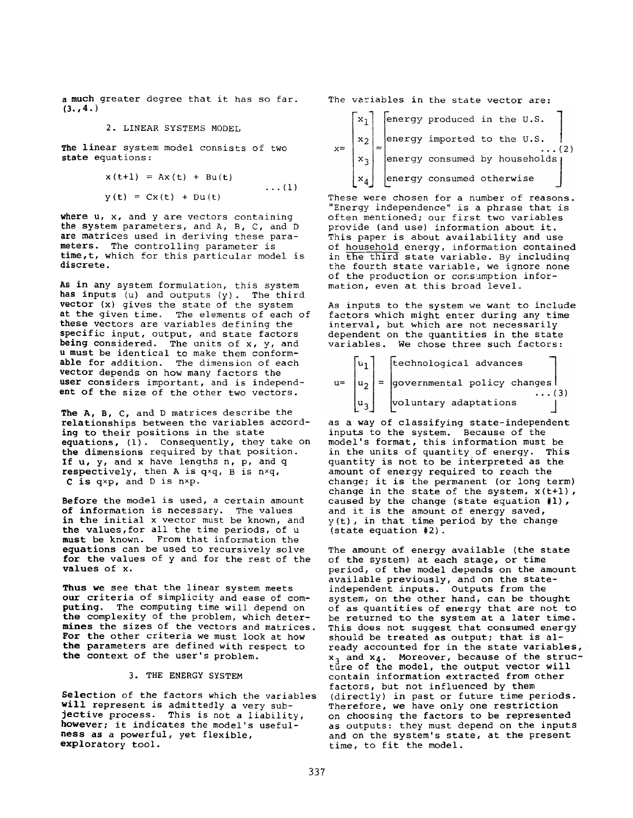**a much greater degree that it has so far. (3. ,4. )**

#### **2. LINEAR SYSTEMS MODEL**

**The linear system model consists of two state equations :**

$$
x(t+1) = Ax(t) + Bu(t)
$$
  
 
$$
y(t) = Cx(t) + Du(t)
$$
 ... (1)

**where u, x, and y are vectors containing the system parameters, and A, B, C, and D are matrices used in deriving these parameters. The controlling parameter is time,t, which for this particular model is discrete.**

**As in any system formulation, this system has inputs (u) and outputs (y). The third vector (x) gives the state of the system at the given time. The elements of each of these vectors are variables defining the specific input, output, and state factors being considered. The units of x, y, and u must be identical to make them conformable for addition. The dimension of each vector depends on how many factors the user considers important, and is independent of the size of the other two vectors.**

**The A, B, C, and D matrices describe the relationships between the variables according to their positions in the state equations, (1). Consequently, they take on the dimensions required by that position. If u, y, and x have lengths n, p, and q respectively, then A is qxq, B is n\*q, C is qxp, and D is n\*p.**

**Before the model is used, a certain amount of information is necessary. The values in the initial x vector must be known, and the values, for all the time periods, of u must be known. From that information the equations can be used to recursively solve for the values of y and for the rest of the values of x.**

**Thus we see that the linear system meets our criteria of simplicity and ease of computing. The computing time will depend on the complexity of the problem, which determines the sizes of the vectors and matrices. For the other criteria we must look at how the parameters are defined with respect to the context of the user's problem.**

## **3. THE ENERGY SYSTEM**

**Selection of the factors which the variables will represent is admittedly a very subjective process. This is not a liability, however; it indicates the model's usefulness as a powerful, yet flexible, exploratory tool.**

**The variables in the state vector are:**

|  |  | energy produced in the U.S.   |                           |  |
|--|--|-------------------------------|---------------------------|--|
|  |  | energy imported to the U.S.   |                           |  |
|  |  | energy consumed by households |                           |  |
|  |  |                               | energy consumed otherwise |  |

**These were chosen for a number of reasons. "Energy independence" is a phrase that is often mentioned; our first two variables provide (and use) information about it. This paper is about availability and use of household energy, information contained in the third state variable. By including the fourth state variable, we ignore none of the production or consumption information, even at this broad level.**

**As inputs to the system we want to include factors which might enter during any time interval, but which are not necessarily dependent on the quantities in the state variables. We chose three such factors:**

| 101 <sup>1</sup> | technological advances                    |
|------------------|-------------------------------------------|
|                  | $u =  u_2  =$ governmental policy changes |
|                  | voluntary adaptations                     |

**as a way of classifying state-independent inputs to the system. Because of the model's format, this information must be in the units of quantity of energy. This quantity is not to be interpreted as the amount of energy required to reach the change; it is the permanent (or long term) change in the state of the system, x(t+l) , caused by the change (state equation #1), and it is the amount of energy saved, y(t), in that time period by the change (state equation #2).**

**The amount of energy available (the state of the system) at each stage, or time period, of the model depends on the amount available previously, and on the stateindependent inputs. Outputs from the system, on the other hand, can be thought of as quantities of energy that are not to be returned to the system at a later time. This does not suggest that consumed energy should be treated as output; that is already accounted for in the state variables x^ and X4. Moreover, because of the struc ture of the model, the output vector will contain information extracted from other factors, but not influenced by them (directly) in past or future time periods. Therefore, we have only one restriction on choosing the factors to be represented as outputs: they must depend on the inputs and on the system's state, at the present time, to fit the model.**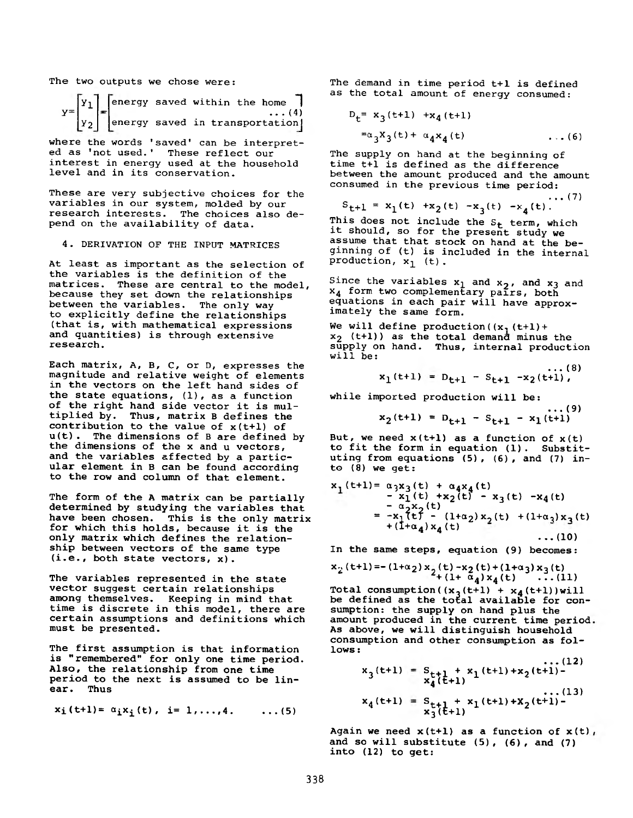**The two outputs we chose were:**

$$
y = \begin{bmatrix} y_1 \\ y_2 \end{bmatrix} = \begin{bmatrix} energy saved within the home \\ energy saved in transportation \end{bmatrix}
$$

**where the words 'saved' can be interpreted as 'not used.' These reflect our interest in energy used at the household level and in its conservation.**

**These are very subjective choices for the variables in our system, molded by our research interests. The choices also depend on the availability of data.**

# **4. DERIVATION OF THE INPUT MATRICES**

**At least as important as the selection of the variables is the definition of the matrices. These are central to the model, because they set down the relationships between the variables. The only way to explicitly define the relationships (that is, with mathematical expressions and quantities) is through extensive research.**

**Each matrix, A, B, C, or D, expresses the magnitude and relative weight of elements in the vectors on the left hand sides of the state equations, (1), as a function of the right hand side vector it is multiplied by. Thus, matrix B defines the contribution to the value of x(t+l) of u(t). The dimensions of B are defined by the dimensions of the x and u vectors, and the variables affected by a particular element in B can be found according to the row and column of that element.**

**The form of the A matrix can be partially determined by studying the variables that have been chosen. This is the only matrix for which this holds, because it is the only matrix which defines the relationship between vectors of the same type (i.e., both state vectors, x).**

**The variables represented in the state vector suggest certain relationships among themselves. Keeping in mind that time is discrete in this model, there are certain assumptions and definitions which must be presented.**

**The first assumption is that information is "remembered" for only one time period. Also, the relationship from one time period to the next is assumed to be linear. Thus**

$$
x_i(t+1) = \alpha_i x_i(t), i = 1,...,4.
$$
 ... (5)

**The demand in time period t+1 is defined as the total amount of energy consumed:**

$$
D_t = x_3(t+1) + x_4(t+1)
$$

 $=\alpha_3 X_3(t) + \alpha_4 X_4(t)$  ...(6)

**The supply on hand at the beginning of time t+1 is defined as the difference between the amount produced and the amount consumed in the previous time period:**

**...(7)**  $S_{t+1} = x_1(t) + x_2(t) -x_3(t) -x_4(t).$ 

This does not include the S<sub>t</sub> term, which **it should, so for the present study we assume that that stock on hand at the beginning of (t) is included in the internal production, x^^ (t) .**

Since the variables  $x_1$  and  $x_2$ , and  $x_3$  and **x4 form two complementary pairs, both equations in each pair will have approximately the same form.**

**We will define production((x,(t+1)+ x2 (t+1)) as the total demand minus the supply on hand. Thus, internal production will be:**

$$
x_1(t+1) = D_{t+1} - S_{t+1} - x_2(t+1),
$$

**while imported production will be:**

**...(9)**  $x_2(t+1) = D_{t+1} - S_{t+1} - x_1(t+1)$ 

**But, we need x(t+l) as a function of x(t) to fit the form in equation (1). Substituting from equations (5), (6), and (7) into (8) we get:**

**x . (t+1)= a 3x3 (t) + a4x4 (t) - x^(t) +x2 (t) - x3 (t) -x4 (t) - a**2**x**2 **(t) = -Xittf - (l+a2)x,(t) + (1+a^) x-, (t) +(I+a4)x4 (t) ...(10)**

**In the same steps, equation (9) becomes:**

$$
x_2(t+1) = -(1+\alpha_2) x_2(t) - x_2(t) + (1+\alpha_3) x_3(t) + (1+\alpha_4) x_4(t) \dots (11)
$$

 $Total \; consumption((x_3 (t+1) + x_4 (t+1)) will$ **be defined as the total available for consumption: the supply on hand plus the amount produced in the current time period As above, we will distinguish household consumption and other consumption as follows :**

$$
x_3(t+1) = S_{t+1} + x_1(t+1) + x_2(t+1) - x_4(t+1)
$$
  

$$
x_4(t+1) = S_{t+1} + x_1(t+1) + x_2(t+1) - x_3(t+1)
$$

**...(12)**

**Again we need x(t+l) as a function of x(t) and so will substitute (5), (6), and (7) into (12) to get:**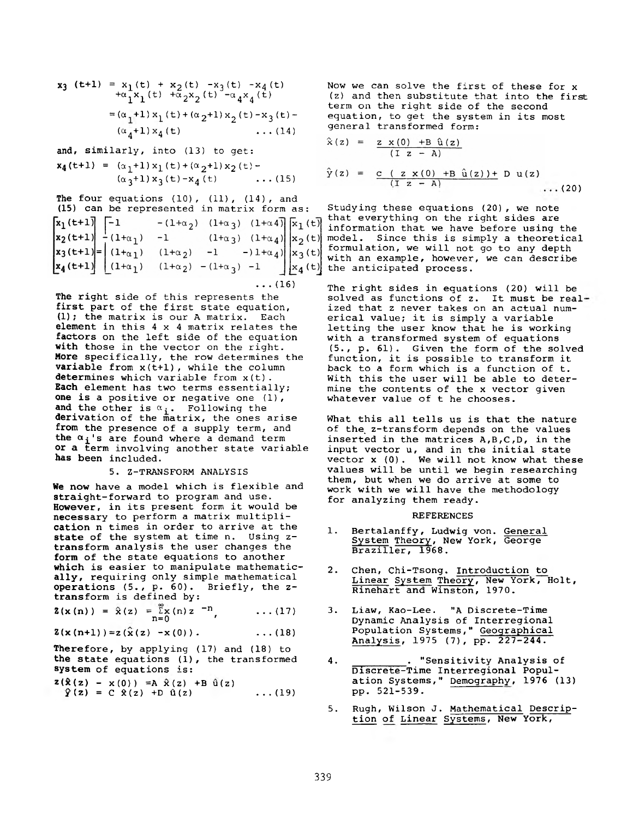$$
x_3 \quad (t+1) = x_1(t) + x_2(t) -x_3(t) -x_4(t)
$$
  
+  $\alpha_1 x_1(t) + \alpha_2 x_2(t) -\alpha_4 x_4(t)$   
=  $(\alpha_1+1)x_1(t) + (\alpha_2+1)x_2(t) -x_3(t) -$   
 $(\alpha_4+1)x_4(t) + \cdots + (14)$ 

**and, similarly, into (13) to get:**  $x_4(t+1) = (\alpha_1+1) x_1(t) + (\alpha_2+1) x_2(t) (\alpha_3+1)x_3(t)-x_4(t)$  ...(15)

**The four equations (10), (11), (14), and (15) can be represented in matrix form as:**  $x_1(t+1)$  -1  $-(1+\alpha_2)$   $(1+\alpha_3)$   $(1+\alpha_4)$   $\bar{x}_1(t)$  $\begin{vmatrix} x_2(t+1) \ x_3(t+1) \ x_4(t+1) \end{vmatrix} = \begin{vmatrix} 1+\alpha_1 & -1 & (1+\alpha_3) & (1+\alpha_4) \\ (1+\alpha_1) & (1+\alpha_2) & -1 & -1+\alpha_4 \\ (1+\alpha_1) & (1+\alpha_2) & -(1+\alpha_3) & -1 \end{vmatrix} \begin{vmatrix} x_2(t) \ x_3(t) \ x_4(t) \end{vmatrix}$ **...(16)**

**The right side of this represents the first part of the first state equation, (1); the matrix is our A matrix. Each element in this 4 x 4 matrix relates the factors on the left side of the equation with those in the vector on the right. More specifically, the row determines the variable from x(t+l), while the column determines which variable from x(t). Each element has two terms essentially; one is a positive or negative one (1),** and the other is  $\alpha_i$ . Following the **derivation of the matrix, the ones arise from the presence of a supply term, and** the  $\alpha_i$ 's are found where a demand term **or a term involving another state variable has been included.**

#### **5. Z-TRANSFORM ANALYSIS**

**We now have a model which is flexible and straight-forward to program and use. However, in its present form it would be necessary to perform a matrix multiplication n times in order to arrive at the state of the system at time n. Using ztransform analysis the user changes the form of the state equations to another which is easier to manipulate mathematically, requiring only simple mathematical operations (5., p. 60). Briefly, the ztransform is defined by:**

$$
\mathbf{2}(\mathbf{x} \cdot (\mathbf{n})) = \hat{\mathbf{x}}(z) = \sum_{n=0}^{\infty} x(n) z^{-n}, \quad \ldots (17)
$$

$$
2(x(n+1)) = 2(x(z) - x(0)). \qquad \qquad \ldots (18)
$$

**Therefore, by applying (17) and (18) to the state equations (1), the transformed system of equations is:**

$$
\mathbf{z}(\hat{\mathbf{x}}(z) - \mathbf{x}(0)) = A \hat{\mathbf{x}}(z) + B \hat{\mathbf{u}}(z) \n\hat{\mathbf{y}}(z) = C \hat{\mathbf{x}}(z) + D \hat{\mathbf{u}}(z) \qquad \dots (19)
$$

**Now we can solve the first of these for x (z) and then substitute that into the first term on the right side of the second equation, to get the system in its most general transformed form:**

$$
\hat{x}(z) = \frac{z x(0) + B \hat{u}(z)}{(I z - A)}
$$
  
\n
$$
\hat{y}(z) = \frac{c (z x(0) + B \hat{u}(z)) + D u(z)}{(I z - A)}
$$
...(20)

 $\sim$ 

**Studying these equations (20), we note that everything on the right sides are information that we have before using the model. Since this is simply a theoretical formulation, we will not go to any depth with an example, however, we can describe**  $\left[\frac{1}{4}(t)\right]$  the anticipated process.

> **The right sides in equations (20) will be solved as functions of z. It must be real' ized that z never takes on an actual numerical value; it is simply a variable letting the user know that he is working with a transformed system of equations (5., p. 61). Given the form of the solved function, it is possible to transform it back to a form which is a function of t. With this the user will be able to determine the contents of the x vector given whatever value of t he chooses.**

**What this all tells us is that the nature of the, z-transform depends on the values inserted in the matrices A,B,C,D, in the input vector u, and in the initial state vector x (0). We will not know what these values will be until we begin researching them, but when we do arrive at some to work with we will have the methodology for analyzing them ready.**

#### **REFERENCES**

- **1. Bertalanffy, Ludwig von. General System Theory, New York, George Braziller, 1968.**
- **2. Chen, Chi-Tsong. Introduction to Linear System Theory, New York, Holt, Rinehart and Winston, 1970.**
- **3. Liaw, Kao-Lee. "A Discrete-Time Dynamic Analysis of Interregional Population Systems," Geographical Analysis, 1975 (7), pp. 227-244.**
- **4. \_\_\_\_\_\_\_ . "Sensitivity Analysis of Discrete-Time Interregional Population Systems," Demography, 1976 (13) pp. 521-539.**
- **5. Rugh, Wilson J. Mathematical Description of Linear Systems, New York,**